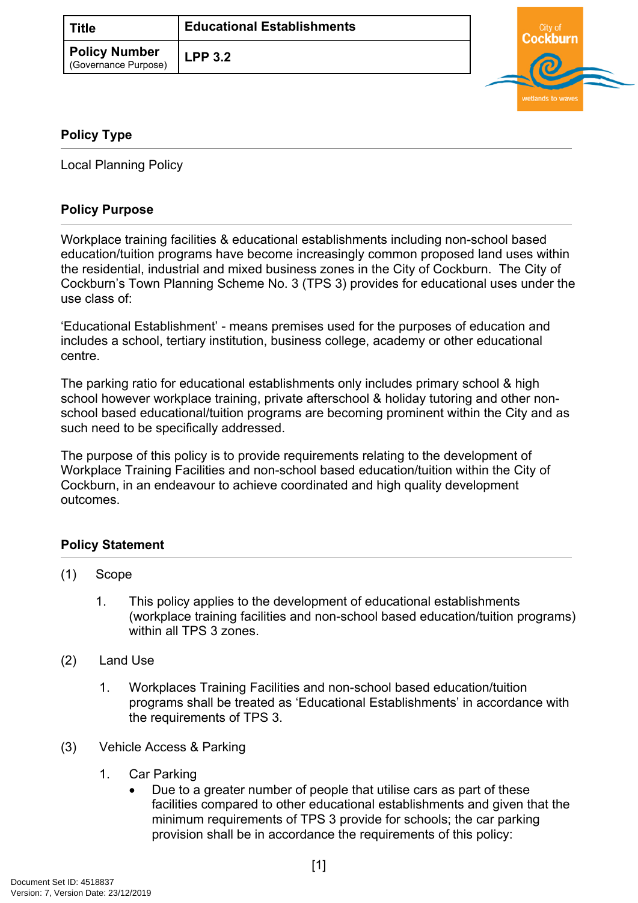| ∵ Title                                      | <b>Educational Establishments</b> |
|----------------------------------------------|-----------------------------------|
| <b>Policy Number</b><br>(Governance Purpose) | LPP <sub>3.2</sub>                |



## **Policy Type**

Local Planning Policy

## **Policy Purpose**

Workplace training facilities & educational establishments including non-school based education/tuition programs have become increasingly common proposed land uses within the residential, industrial and mixed business zones in the City of Cockburn. The City of Cockburn's Town Planning Scheme No. 3 (TPS 3) provides for educational uses under the use class of:

'Educational Establishment' - means premises used for the purposes of education and includes a school, tertiary institution, business college, academy or other educational centre.

The parking ratio for educational establishments only includes primary school & high school however workplace training, private afterschool & holiday tutoring and other nonschool based educational/tuition programs are becoming prominent within the City and as such need to be specifically addressed.

The purpose of this policy is to provide requirements relating to the development of Workplace Training Facilities and non-school based education/tuition within the City of Cockburn, in an endeavour to achieve coordinated and high quality development outcomes.

## **[Policy Statement](#page-0-0)**

## <span id="page-0-0"></span>(1) Scope

- 1. This policy applies to the development of educational establishments (workplace training facilities and non-school based education/tuition programs) within all TPS 3 zones.
- (2) Land Use
	- 1. Workplaces Training Facilities and non-school based education/tuition programs shall be treated as 'Educational Establishments' in accordance with the requirements of TPS 3.
- (3) Vehicle Access & Parking
	- 1. Car Parking
		- Due to a greater number of people that utilise cars as part of these facilities compared to other educational establishments and given that the minimum requirements of TPS 3 provide for schools; the car parking provision shall be in accordance the requirements of this policy: